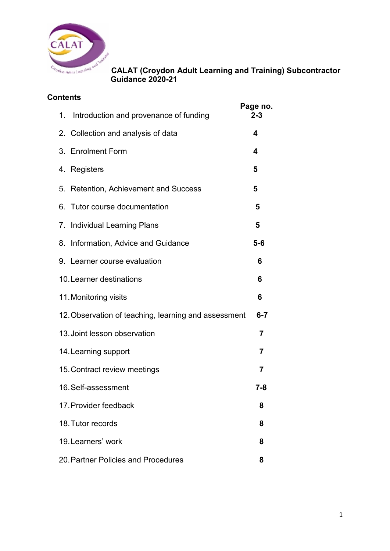

## **Contents**

|                                                                 | 1. Introduction and provenance of funding | Page no.<br>$2 - 3$ |  |
|-----------------------------------------------------------------|-------------------------------------------|---------------------|--|
|                                                                 | 2. Collection and analysis of data        | 4                   |  |
|                                                                 | 3. Enrolment Form                         | 4                   |  |
|                                                                 | 4. Registers                              | 5                   |  |
|                                                                 | 5. Retention, Achievement and Success     | 5                   |  |
|                                                                 | 6. Tutor course documentation             | 5                   |  |
|                                                                 | 7. Individual Learning Plans              | 5                   |  |
|                                                                 | 8. Information, Advice and Guidance       | $5-6$               |  |
|                                                                 | 9. Learner course evaluation              | 6                   |  |
| 10. Learner destinations                                        |                                           | 6                   |  |
|                                                                 | 11. Monitoring visits                     | 6                   |  |
| 12. Observation of teaching, learning and assessment<br>$6 - 7$ |                                           |                     |  |
|                                                                 | 13. Joint lesson observation              | 7                   |  |
|                                                                 | 14. Learning support                      | $\overline{7}$      |  |
|                                                                 | 15. Contract review meetings              | $\overline{7}$      |  |
|                                                                 | 16. Self-assessment                       | $7 - 8$             |  |
|                                                                 | 17. Provider feedback                     | 8                   |  |
|                                                                 | 18. Tutor records                         | 8                   |  |
|                                                                 | 19. Learners' work                        | 8                   |  |
|                                                                 | 20. Partner Policies and Procedures       | 8                   |  |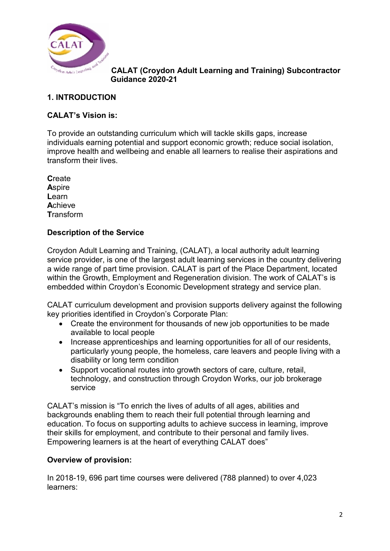

## **1. INTRODUCTION**

### **CALAT's Vision is:**

To provide an outstanding curriculum which will tackle skills gaps, increase individuals earning potential and support economic growth; reduce social isolation, improve health and wellbeing and enable all learners to realise their aspirations and transform their lives.

**C**reate **A**spire **L**earn **A**chieve **T**ransform

#### **Description of the Service**

Croydon Adult Learning and Training, (CALAT), a local authority adult learning service provider, is one of the largest adult learning services in the country delivering a wide range of part time provision. CALAT is part of the Place Department, located within the Growth, Employment and Regeneration division. The work of CALAT's is embedded within Croydon's Economic Development strategy and service plan.

CALAT curriculum development and provision supports delivery against the following key priorities identified in Croydon's Corporate Plan:

- Create the environment for thousands of new job opportunities to be made available to local people
- Increase apprenticeships and learning opportunities for all of our residents, particularly young people, the homeless, care leavers and people living with a disability or long term condition
- Support vocational routes into growth sectors of care, culture, retail, technology, and construction through Croydon Works, our job brokerage service

CALAT's mission is "To enrich the lives of adults of all ages, abilities and backgrounds enabling them to reach their full potential through learning and education. To focus on supporting adults to achieve success in learning, improve their skills for employment, and contribute to their personal and family lives. Empowering learners is at the heart of everything CALAT does"

#### **Overview of provision:**

In 2018-19, 696 part time courses were delivered (788 planned) to over 4,023 learners: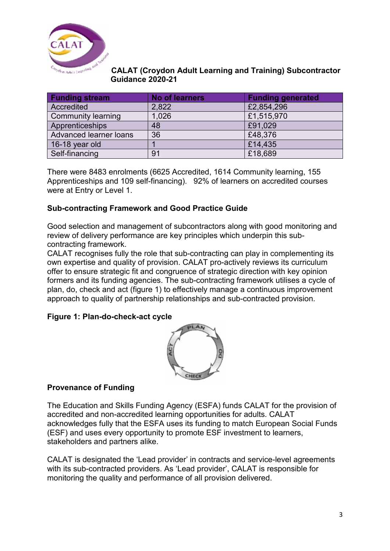

| <b>Funding stream</b>     | <b>No of learners</b> | <b>Funding generated</b> |
|---------------------------|-----------------------|--------------------------|
| Accredited                | 2,822                 | £2,854,296               |
| <b>Community learning</b> | 1,026                 | £1,515,970               |
| Apprenticeships           | 48                    | £91,029                  |
| Advanced learner loans    | 36                    | £48,376                  |
| 16-18 year old            |                       | £14,435                  |
| Self-financing            | 91                    | £18,689                  |

There were 8483 enrolments (6625 Accredited, 1614 Community learning, 155 Apprenticeships and 109 self-financing).92% of learners on accredited courses were at Entry or Level 1.

### **Sub-contracting Framework and Good Practice Guide**

Good selection and management of subcontractors along with good monitoring and review of delivery performance are key principles which underpin this subcontracting framework.

CALAT recognises fully the role that sub-contracting can play in complementing its own expertise and quality of provision. CALAT pro-actively reviews its curriculum offer to ensure strategic fit and congruence of strategic direction with key opinion formers and its funding agencies. The sub-contracting framework utilises a cycle of plan, do, check and act (figure 1) to effectively manage a continuous improvement approach to quality of partnership relationships and sub-contracted provision.

### **Figure 1: Plan-do-check-act cycle**



#### **Provenance of Funding**

The Education and Skills Funding Agency (ESFA) funds CALAT for the provision of accredited and non-accredited learning opportunities for adults. CALAT acknowledges fully that the ESFA uses its funding to match European Social Funds (ESF) and uses every opportunity to promote ESF investment to learners, stakeholders and partners alike.

CALAT is designated the 'Lead provider' in contracts and service-level agreements with its sub-contracted providers. As 'Lead provider', CALAT is responsible for monitoring the quality and performance of all provision delivered.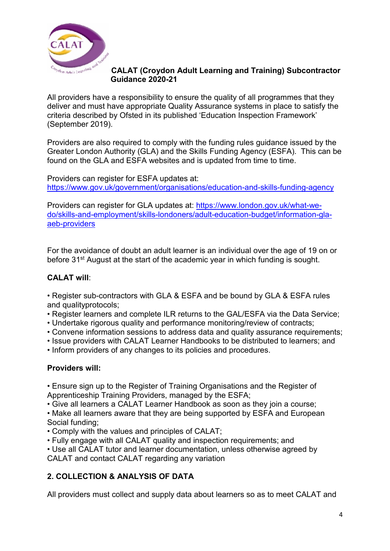

All providers have a responsibility to ensure the quality of all programmes that they deliver and must have appropriate Quality Assurance systems in place to satisfy the criteria described by Ofsted in its published 'Education Inspection Framework' (September 2019).

Providers are also required to comply with the funding rules guidance issued by the Greater London Authority (GLA) and the Skills Funding Agency (ESFA). This can be found on the GLA and ESFA websites and is updated from time to time.

Providers can register for ESFA updates at: <https://www.gov.uk/government/organisations/education-and-skills-funding-agency>

Providers can register for GLA updates at: [https://www.london.gov.uk/what-we](https://www.london.gov.uk/what-we-do/skills-and-employment/skills-londoners/adult-education-budget/information-gla-aeb-providers)[do/skills-and-employment/skills-londoners/adult-education-budget/information-gla](https://www.london.gov.uk/what-we-do/skills-and-employment/skills-londoners/adult-education-budget/information-gla-aeb-providers)[aeb-providers](https://www.london.gov.uk/what-we-do/skills-and-employment/skills-londoners/adult-education-budget/information-gla-aeb-providers)

For the avoidance of doubt an adult learner is an individual over the age of 19 on or before 31<sup>st</sup> August at the start of the academic year in which funding is sought.

### **CALAT will**:

• Register sub-contractors with GLA & ESFA and be bound by GLA & ESFA rules and qualityprotocols;

- Register learners and complete ILR returns to the GAL/ESFA via the Data Service;
- Undertake rigorous quality and performance monitoring/review of contracts;
- Convene information sessions to address data and quality assurance requirements;
- Issue providers with CALAT Learner Handbooks to be distributed to learners; and
- Inform providers of any changes to its policies and procedures.

### **Providers will:**

• Ensure sign up to the Register of Training Organisations and the Register of Apprenticeship Training Providers, managed by the ESFA;

• Give all learners a CALAT Learner Handbook as soon as they join a course; • Make all learners aware that they are being supported by ESFA and European Social funding;

• Comply with the values and principles of CALAT;

• Fully engage with all CALAT quality and inspection requirements; and

• Use all CALAT tutor and learner documentation, unless otherwise agreed by CALAT and contact CALAT regarding any variation

### **2. COLLECTION & ANALYSIS OF DATA**

All providers must collect and supply data about learners so as to meet CALAT and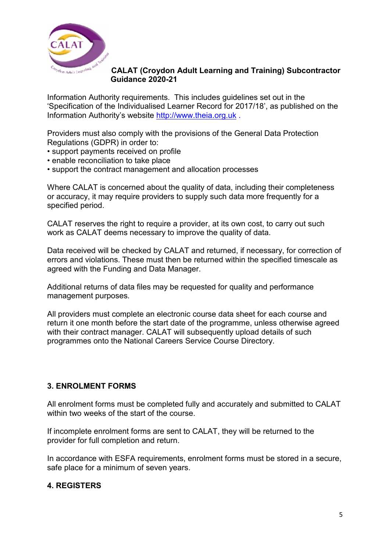

Information Authority requirements. This includes guidelines set out in the 'Specification of the Individualised Learner Record for 2017/18', as published on the Information Authority's website [http://www.theia.org.uk](http://www.theia.org.uk/) .

Providers must also comply with the provisions of the General Data Protection Regulations (GDPR) in order to:

- support payments received on profile
- enable reconciliation to take place
- support the contract management and allocation processes

Where CALAT is concerned about the quality of data, including their completeness or accuracy, it may require providers to supply such data more frequently for a specified period.

CALAT reserves the right to require a provider, at its own cost, to carry out such work as CALAT deems necessary to improve the quality of data.

Data received will be checked by CALAT and returned, if necessary, for correction of errors and violations. These must then be returned within the specified timescale as agreed with the Funding and Data Manager.

Additional returns of data files may be requested for quality and performance management purposes.

All providers must complete an electronic course data sheet for each course and return it one month before the start date of the programme, unless otherwise agreed with their contract manager. CALAT will subsequently upload details of such programmes onto the National Careers Service Course Directory.

#### **3. ENROLMENT FORMS**

All enrolment forms must be completed fully and accurately and submitted to CALAT within two weeks of the start of the course.

If incomplete enrolment forms are sent to CALAT, they will be returned to the provider for full completion and return.

In accordance with ESFA requirements, enrolment forms must be stored in a secure, safe place for a minimum of seven years.

#### **4. REGISTERS**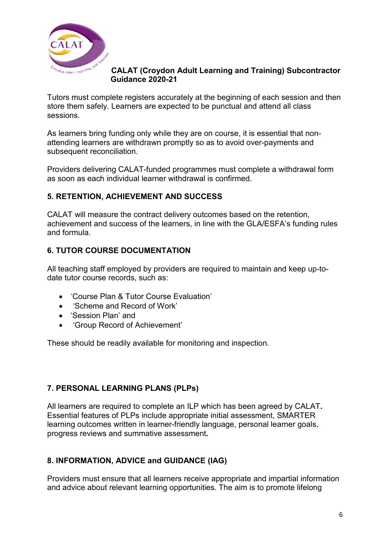

# **CALAT (Croydon Adult Learning and Training) Subcontractor CALAT (Croydon**

Tutors must complete registers accurately at the beginning of each session and then store them safely. Learners are expected to be punctual and attend all class sessions.

As learners bring funding only while they are on course, it is essential that nonattending learners are withdrawn promptly so as to avoid over-payments and subsequent reconciliation.

Providers delivering CALAT-funded programmes must complete a withdrawal form as soon as each individual learner withdrawal is confirmed.

## **5. RETENTION, ACHIEVEMENT AND SUCCESS**

CALAT will measure the contract delivery outcomes based on the retention, achievement and success of the learners, in line with the GLA/ESFA's funding rules and formula.

## **6. TUTOR COURSE DOCUMENTATION**

All teaching staff employed by providers are required to maintain and keep up-todate tutor course records, such as:

- 'Course Plan & Tutor Course Evaluation'
- 'Scheme and Record of Work'
- 'Session Plan' and
- 'Group Record of Achievement'

These should be readily available for monitoring and inspection.

### **7. PERSONAL LEARNING PLANS (PLPs)**

All learners are required to complete an ILP which has been agreed by CALAT**.**  Essential features of PLPs include appropriate initial assessment, SMARTER learning outcomes written in learner-friendly language, personal learner goals, progress reviews and summative assessment**.**

### **8. INFORMATION, ADVICE and GUIDANCE (IAG)**

Providers must ensure that all learners receive appropriate and impartial information and advice about relevant learning opportunities. The aim is to promote lifelong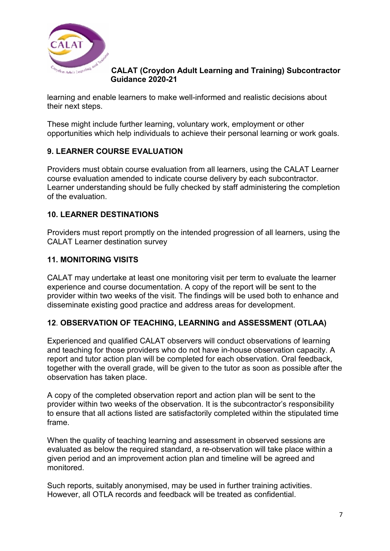

learning and enable learners to make well-informed and realistic decisions about their next steps.

These might include further learning, voluntary work, employment or other opportunities which help individuals to achieve their personal learning or work goals.

## **9. LEARNER COURSE EVALUATION**

Providers must obtain course evaluation from all learners, using the CALAT Learner course evaluation amended to indicate course delivery by each subcontractor. Learner understanding should be fully checked by staff administering the completion of the evaluation.

## **10. LEARNER DESTINATIONS**

Providers must report promptly on the intended progression of all learners, using the CALAT Learner destination survey

## **11. MONITORING VISITS**

CALAT may undertake at least one monitoring visit per term to evaluate the learner experience and course documentation. A copy of the report will be sent to the provider within two weeks of the visit. The findings will be used both to enhance and disseminate existing good practice and address areas for development.

### **12**. **OBSERVATION OF TEACHING, LEARNING and ASSESSMENT (OTLAA)**

Experienced and qualified CALAT observers will conduct observations of learning and teaching for those providers who do not have in-house observation capacity. A report and tutor action plan will be completed for each observation. Oral feedback, together with the overall grade, will be given to the tutor as soon as possible after the observation has taken place.

A copy of the completed observation report and action plan will be sent to the provider within two weeks of the observation. It is the subcontractor's responsibility to ensure that all actions listed are satisfactorily completed within the stipulated time frame.

When the quality of teaching learning and assessment in observed sessions are evaluated as below the required standard, a re-observation will take place within a given period and an improvement action plan and timeline will be agreed and monitored.

Such reports, suitably anonymised, may be used in further training activities. However, all OTLA records and feedback will be treated as confidential.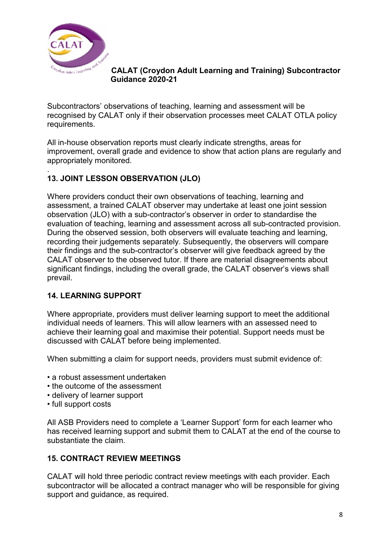

Subcontractors' observations of teaching, learning and assessment will be recognised by CALAT only if their observation processes meet CALAT OTLA policy requirements.

All in-house observation reports must clearly indicate strengths, areas for improvement, overall grade and evidence to show that action plans are regularly and appropriately monitored.

#### . **13. JOINT LESSON OBSERVATION (JLO)**

Where providers conduct their own observations of teaching, learning and assessment, a trained CALAT observer may undertake at least one joint session observation (JLO) with a sub-contractor's observer in order to standardise the evaluation of teaching, learning and assessment across all sub-contracted provision. During the observed session, both observers will evaluate teaching and learning, recording their judgements separately. Subsequently, the observers will compare their findings and the sub-contractor's observer will give feedback agreed by the CALAT observer to the observed tutor. If there are material disagreements about significant findings, including the overall grade, the CALAT observer's views shall prevail.

### **14. LEARNING SUPPORT**

Where appropriate, providers must deliver learning support to meet the additional individual needs of learners. This will allow learners with an assessed need to achieve their learning goal and maximise their potential. Support needs must be discussed with CALAT before being implemented.

When submitting a claim for support needs, providers must submit evidence of:

- a robust assessment undertaken
- the outcome of the assessment
- delivery of learner support
- full support costs

All ASB Providers need to complete a 'Learner Support' form for each learner who has received learning support and submit them to CALAT at the end of the course to substantiate the claim.

#### **15. CONTRACT REVIEW MEETINGS**

CALAT will hold three periodic contract review meetings with each provider. Each subcontractor will be allocated a contract manager who will be responsible for giving support and guidance, as required.